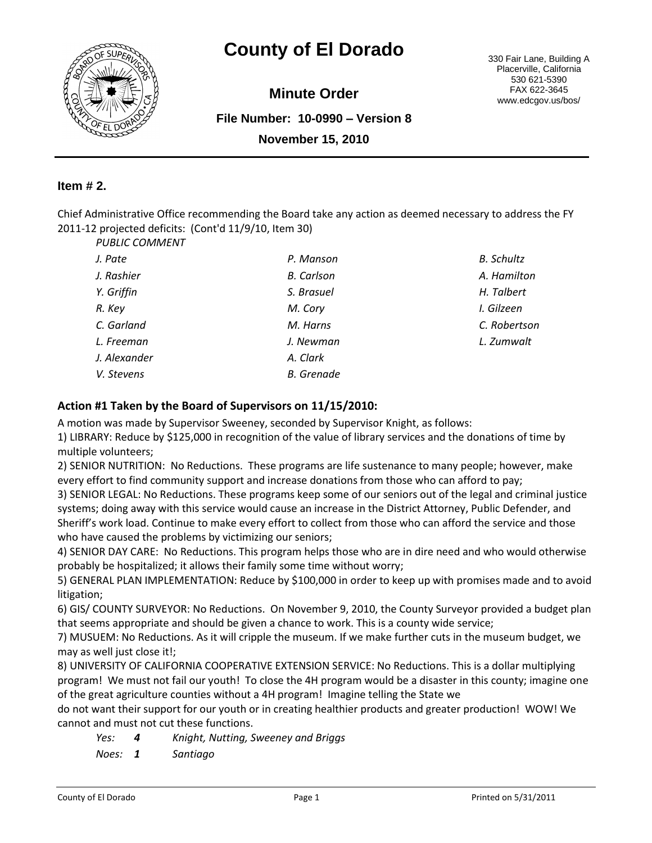

# **County of El Dorado** 330 Fair Lane, Building A

**Minute Order**

**File Number: 10-0990 – Version 8 November 15, 2010**

Placerville, California 530 621-5390 FAX 622-3645 www.edcgov.us/bos/

## **Item # 2.**

Chief Administrative Office recommending the Board take any action as deemed necessary to address the FY 2011-12 projected deficits: (Cont'd 11/9/10, Item 30) *PUBLIC COMMENT*

| , טובויוויוטט |                   |                   |
|---------------|-------------------|-------------------|
| J. Pate       | P. Manson         | <b>B.</b> Schultz |
| J. Rashier    | <b>B.</b> Carlson | A. Hamilton       |
| Y. Griffin    | S. Brasuel        | H. Talbert        |
| R. Key        | M. Cory           | I. Gilzeen        |
| C. Garland    | M. Harns          | C. Robertson      |
| L. Freeman    | J. Newman         | L. Zumwalt        |
| J. Alexander  | A. Clark          |                   |
| V. Stevens    | <b>B.</b> Grenade |                   |
|               |                   |                   |

#### **Action #1 Taken by the Board of Supervisors on 11/15/2010:**

A motion was made by Supervisor Sweeney, seconded by Supervisor Knight, as follows:

1) LIBRARY: Reduce by \$125,000 in recognition of the value of library services and the donations of time by multiple volunteers;

2) SENIOR NUTRITION: No Reductions. These programs are life sustenance to many people; however, make every effort to find community support and increase donations from those who can afford to pay;

3) SENIOR LEGAL: No Reductions. These programs keep some of our seniors out of the legal and criminal justice systems; doing away with this service would cause an increase in the District Attorney, Public Defender, and Sheriff's work load. Continue to make every effort to collect from those who can afford the service and those who have caused the problems by victimizing our seniors;

4) SENIOR DAY CARE: No Reductions. This program helps those who are in dire need and who would otherwise probably be hospitalized; it allows their family some time without worry;

5) GENERAL PLAN IMPLEMENTATION: Reduce by \$100,000 in order to keep up with promises made and to avoid litigation;

6) GIS/ COUNTY SURVEYOR: No Reductions. On November 9, 2010, the County Surveyor provided a budget plan that seems appropriate and should be given a chance to work. This is a county wide service;

7) MUSUEM: No Reductions. As it will cripple the museum. If we make further cuts in the museum budget, we may as well just close it!;

8) UNIVERSITY OF CALIFORNIA COOPERATIVE EXTENSION SERVICE: No Reductions. This is a dollar multiplying program! We must not fail our youth! To close the 4H program would be a disaster in this county; imagine one of the great agriculture counties without a 4H program! Imagine telling the State we

do not want their support for our youth or in creating healthier products and greater production! WOW! We cannot and must not cut these functions.

- *Yes: 4 Knight, Nutting, Sweeney and Briggs*
- *Noes: 1 Santiago*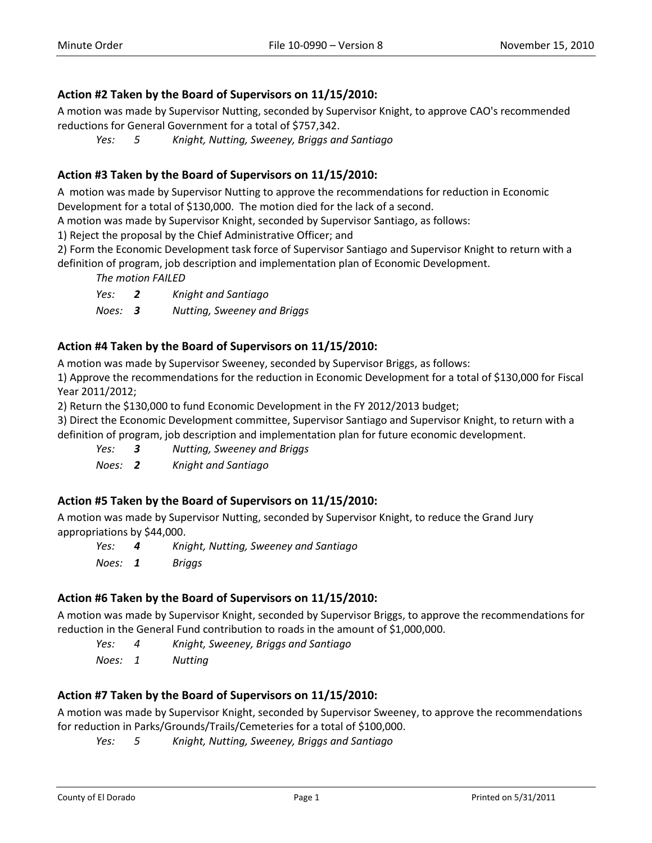### **Action #2 Taken by the Board of Supervisors on 11/15/2010:**

A motion was made by Supervisor Nutting, seconded by Supervisor Knight, to approve CAO's recommended reductions for General Government for a total of \$757,342.

*Yes: 5 Knight, Nutting, Sweeney, Briggs and Santiago*

## **Action #3 Taken by the Board of Supervisors on 11/15/2010:**

A motion was made by Supervisor Nutting to approve the recommendations for reduction in Economic Development for a total of \$130,000. The motion died for the lack of a second.

A motion was made by Supervisor Knight, seconded by Supervisor Santiago, as follows:

1) Reject the proposal by the Chief Administrative Officer; and

2) Form the Economic Development task force of Supervisor Santiago and Supervisor Knight to return with a definition of program, job description and implementation plan of Economic Development.

*The motion FAILED*

*Yes: 2 Knight and Santiago Noes: 3 Nutting, Sweeney and Briggs*

### **Action #4 Taken by the Board of Supervisors on 11/15/2010:**

A motion was made by Supervisor Sweeney, seconded by Supervisor Briggs, as follows:

1) Approve the recommendations for the reduction in Economic Development for a total of \$130,000 for Fiscal Year 2011/2012;

2) Return the \$130,000 to fund Economic Development in the FY 2012/2013 budget;

3) Direct the Economic Development committee, Supervisor Santiago and Supervisor Knight, to return with a definition of program, job description and implementation plan for future economic development.

*Yes: 3 Nutting, Sweeney and Briggs*

*Noes: 2 Knight and Santiago*

### **Action #5 Taken by the Board of Supervisors on 11/15/2010:**

A motion was made by Supervisor Nutting, seconded by Supervisor Knight, to reduce the Grand Jury appropriations by \$44,000.

*Yes: 4 Knight, Nutting, Sweeney and Santiago Noes: 1 Briggs*

### **Action #6 Taken by the Board of Supervisors on 11/15/2010:**

A motion was made by Supervisor Knight, seconded by Supervisor Briggs, to approve the recommendations for reduction in the General Fund contribution to roads in the amount of \$1,000,000.

*Yes: 4 Knight, Sweeney, Briggs and Santiago*

*Noes: 1 Nutting*

### **Action #7 Taken by the Board of Supervisors on 11/15/2010:**

A motion was made by Supervisor Knight, seconded by Supervisor Sweeney, to approve the recommendations for reduction in Parks/Grounds/Trails/Cemeteries for a total of \$100,000.

*Yes: 5 Knight, Nutting, Sweeney, Briggs and Santiago*